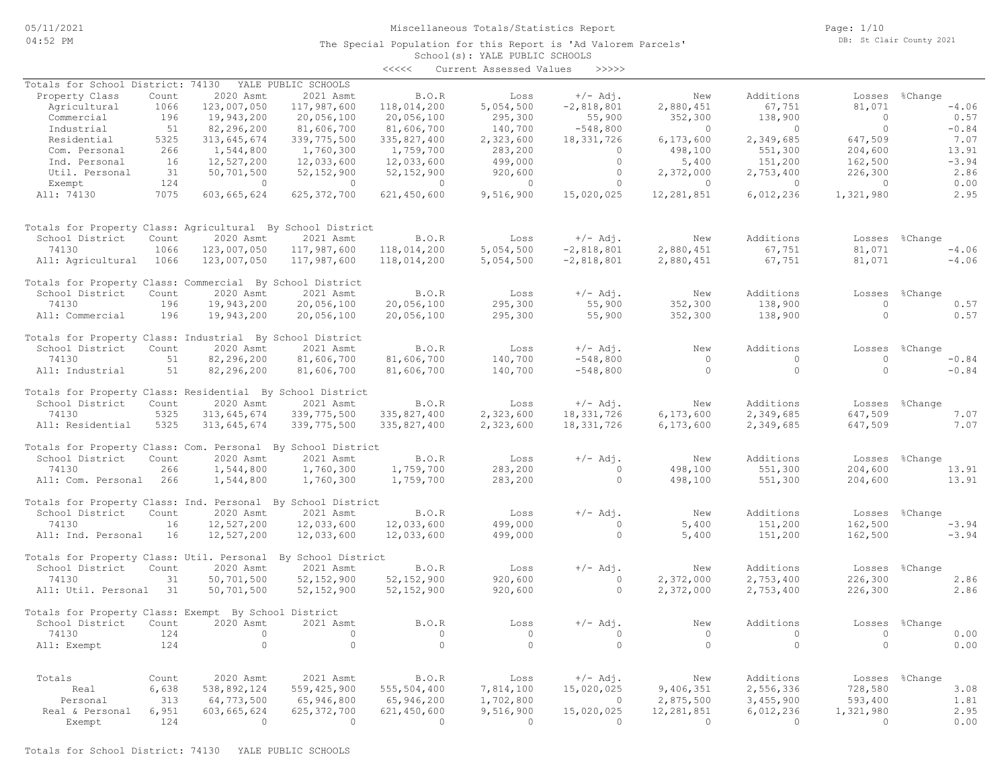The Special Population for this Report is 'Ad Valorem Parcels'

Page: 1/10 DB: St Clair County 2021

#### School(s): YALE PUBLIC SCHOOLS <<<<< Current Assessed Values >>>>>

| Totals for School District: 74130                            |       |                | YALE PUBLIC SCHOOLS |              |                |                |                |                |                |                |
|--------------------------------------------------------------|-------|----------------|---------------------|--------------|----------------|----------------|----------------|----------------|----------------|----------------|
| Property Class                                               | Count | 2020 Asmt      | 2021 Asmt           | <b>B.O.R</b> | Loss           | $+/-$ Adj.     | New            | Additions      |                | Losses %Change |
| Agricultural                                                 | 1066  | 123,007,050    | 117,987,600         | 118,014,200  | 5,054,500      | $-2,818,801$   | 2,880,451      | 67,751         | 81,071         | $-4.06$        |
| Commercial                                                   | 196   | 19,943,200     | 20,056,100          | 20,056,100   | 295,300        | 55,900         | 352,300        | 138,900        | $\overline{0}$ | 0.57           |
| Industrial                                                   | 51    | 82,296,200     | 81,606,700          | 81,606,700   | 140,700        | $-548,800$     | $\overline{0}$ | $\overline{0}$ | $\circ$        | $-0.84$        |
| Residential                                                  | 5325  | 313,645,674    | 339,775,500         | 335,827,400  | 2,323,600      | 18, 331, 726   | 6,173,600      | 2,349,685      | 647,509        | 7.07           |
|                                                              |       |                |                     |              |                |                |                |                |                |                |
| Com. Personal                                                | 266   | 1,544,800      | 1,760,300           | 1,759,700    | 283,200        | $\circ$        | 498,100        | 551,300        | 204,600        | 13.91          |
| Ind. Personal                                                | 16    | 12,527,200     | 12,033,600          | 12,033,600   | 499,000        | $\circ$        | 5,400          | 151,200        | 162,500        | $-3.94$        |
| Util. Personal                                               | 31    | 50,701,500     | 52, 152, 900        | 52, 152, 900 | 920,600        | $\circ$        | 2,372,000      | 2,753,400      | 226,300        | 2.86           |
| Exempt                                                       | 124   | $\overline{0}$ | $\sim$ 0            | $\sim$ 0     | $\overline{0}$ | $\Omega$       | $\bigcirc$     | $\overline{0}$ | $\bigcirc$     | 0.00           |
| All: 74130                                                   | 7075  | 603,665,624    | 625, 372, 700       | 621,450,600  | 9,516,900      | 15,020,025     | 12,281,851     | 6,012,236      | 1,321,980      | 2.95           |
| Totals for Property Class: Agricultural By School District   |       |                |                     |              |                |                |                |                |                |                |
|                                                              |       |                |                     | B.O.R        | Loss           | $+/-$ Adj.     | New            | Additions      |                |                |
| School District                                              | Count | 2020 Asmt      | 2021 Asmt           |              |                |                |                |                |                | Losses %Change |
| 74130                                                        | 1066  | 123,007,050    | 117,987,600         | 118,014,200  | 5,054,500      | $-2,818,801$   | 2,880,451      | 67,751         | 81,071         | $-4.06$        |
| All: Agricultural 1066                                       |       | 123,007,050    | 117,987,600         | 118,014,200  | 5,054,500      | $-2,818,801$   | 2,880,451      | 67,751         | 81,071         | $-4.06$        |
| Totals for Property Class: Commercial By School District     |       |                |                     |              |                |                |                |                |                |                |
| School District                                              | Count | 2020 Asmt      | 2021 Asmt           | B.O.R        | Loss           | $+/-$ Adj.     | New            | Additions      |                | Losses %Change |
| 74130                                                        | 196   | 19,943,200     | 20,056,100          | 20,056,100   | 295,300        | 55,900         | 352,300        | 138,900        | $\Omega$       | 0.57           |
| All: Commercial                                              | 196   | 19,943,200     | 20,056,100          | 20,056,100   | 295,300        | 55,900         | 352,300        | 138,900        | $\Omega$       | 0.57           |
| Totals for Property Class: Industrial By School District     |       |                |                     |              |                |                |                |                |                |                |
| School District                                              | Count | 2020 Asmt      | 2021 Asmt           | B.O.R        | Loss           | $+/-$ Adj.     | New            | Additions      |                | Losses %Change |
| 74130                                                        | 51    | 82,296,200     | 81,606,700          | 81,606,700   | 140,700        | $-548,800$     | $\overline{0}$ | $\circ$        | $\circ$        | $-0.84$        |
| All: Industrial                                              | 51    | 82,296,200     | 81,606,700          | 81,606,700   | 140,700        | $-548,800$     | $\circ$        | $\circ$        | $\circ$        | $-0.84$        |
| Totals for Property Class: Residential By School District    |       |                |                     |              |                |                |                |                |                |                |
| School District                                              | Count | 2020 Asmt      | 2021 Asmt           | B.O.R        | Loss           | $+/-$ Adj.     | New            | Additions      |                | Losses %Change |
| 74130                                                        | 5325  | 313,645,674    | 339, 775, 500       | 335,827,400  | 2,323,600      | 18, 331, 726   | 6,173,600      | 2,349,685      | 647,509        | 7.07           |
| All: Residential                                             | 5325  | 313,645,674    | 339,775,500         | 335,827,400  | 2,323,600      | 18, 331, 726   | 6,173,600      | 2,349,685      | 647,509        | 7.07           |
|                                                              |       |                |                     |              |                |                |                |                |                |                |
| Totals for Property Class: Com. Personal By School District  |       |                |                     |              |                |                |                |                |                |                |
| School District                                              | Count | 2020 Asmt      | 2021 Asmt           | B.O.R        | Loss           | $+/-$ Adj.     | New            | Additions      |                | Losses %Change |
| 74130                                                        | 266   | 1,544,800      | 1,760,300           | 1,759,700    | 283,200        | $\overline{0}$ | 498,100        | 551,300        | 204,600        | 13.91          |
| All: Com. Personal                                           | 266   | 1,544,800      | 1,760,300           | 1,759,700    | 283,200        | $\Omega$       | 498,100        | 551,300        | 204,600        | 13.91          |
| Totals for Property Class: Ind. Personal By School District  |       |                |                     |              |                |                |                |                |                |                |
| School District                                              | Count | 2020 Asmt      | 2021 Asmt           | B.O.R        | Loss           | $+/-$ Adj.     | New            | Additions      |                | Losses %Change |
| 74130                                                        | 16    | 12,527,200     | 12,033,600          | 12,033,600   | 499,000        | $\circ$        | 5,400          | 151,200        | 162,500        | $-3.94$        |
|                                                              |       |                |                     |              |                | $\Omega$       |                |                |                |                |
| All: Ind. Personal                                           | 16    | 12,527,200     | 12,033,600          | 12,033,600   | 499,000        |                | 5,400          | 151,200        | 162,500        | $-3.94$        |
| Totals for Property Class: Util. Personal By School District |       |                |                     |              |                |                |                |                |                |                |
| School District                                              | Count | 2020 Asmt      | 2021 Asmt           | B.0. R       | Loss           | $+/-$ Adj.     | New            | Additions      | Losses         | %Change        |
| 74130                                                        | 31    | 50,701,500     | 52, 152, 900        | 52, 152, 900 | 920,600        | $\circ$        | 2,372,000      | 2,753,400      | 226,300        | 2.86           |
| All: Util. Personal 31                                       |       | 50,701,500     | 52, 152, 900        | 52, 152, 900 | 920,600        | $\circ$        | 2,372,000      | 2,753,400      | 226,300        | 2.86           |
| Totals for Property Class: Exempt By School District         |       |                |                     |              |                |                |                |                |                |                |
| School District                                              | Count | 2020 Asmt      | 2021 Asmt           | B.O.R        | Loss           | $+/-$ Adj.     | New            | Additions      | Losses         | %Change        |
|                                                              | 124   | $\overline{0}$ | $\circ$             | $\circ$      | $\overline{0}$ |                | $\overline{0}$ | $\circ$        | $\circ$        |                |
| 74130                                                        |       |                |                     |              |                | $\circ$        |                |                |                | 0.00           |
| All: Exempt                                                  | 124   | $\Omega$       | $\Omega$            | $\Omega$     | $\bigcirc$     | $\Omega$       | $\overline{0}$ | $\Omega$       | $\Omega$       | 0.00           |
|                                                              |       |                |                     |              |                |                |                |                |                |                |
| Totals                                                       | Count | 2020 Asmt      | 2021 Asmt           | B.O.R        | Loss           | $+/-$ Adj.     | New            | Additions      |                | Losses %Change |
| Real                                                         | 6,638 | 538,892,124    | 559, 425, 900       | 555,504,400  | 7,814,100      | 15,020,025     | 9,406,351      | 2,556,336      | 728,580        | 3.08           |
| Personal                                                     | 313   | 64,773,500     | 65,946,800          | 65,946,200   | 1,702,800      | $\Omega$       | 2,875,500      | 3,455,900      | 593,400        | 1.81           |
| Real & Personal                                              | 6,951 | 603,665,624    | 625, 372, 700       | 621,450,600  | 9,516,900      | 15,020,025     | 12,281,851     | 6,012,236      | 1,321,980      | 2.95           |
| Exempt                                                       | 124   | $\bigcirc$     | $\overline{0}$      | $\Omega$     | $\bigcirc$     | $\Omega$       | $\bigcirc$     | $\bigcirc$     | $\Omega$       | 0.00           |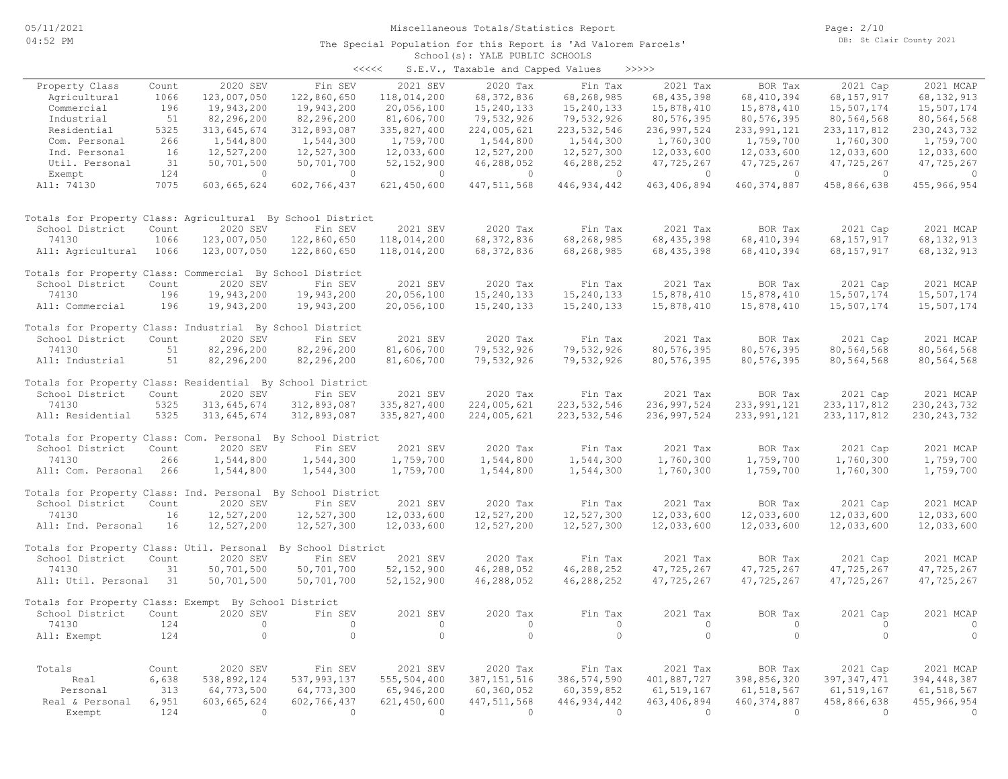#### School(s): YALE PUBLIC SCHOOLS The Special Population for this Report is 'Ad Valorem Parcels'

| <<<< | S.E.V., Taxable and Capped Values |  |  |  | >>>>> |
|------|-----------------------------------|--|--|--|-------|
|------|-----------------------------------|--|--|--|-------|

| Property Class                                               | Count | 2020 SEV    | Fin SEV        | 2021 SEV       | 2020 Tax      | Fin Tax                  | 2021 Tax      | BOR Tax        | 2021 Cap                  | 2021 MCAP     |
|--------------------------------------------------------------|-------|-------------|----------------|----------------|---------------|--------------------------|---------------|----------------|---------------------------|---------------|
| Agricultural                                                 | 1066  | 123,007,050 | 122,860,650    | 118,014,200    | 68, 372, 836  | 68,268,985               | 68, 435, 398  | 68, 410, 394   | 68, 157, 917              | 68, 132, 913  |
| Commercial                                                   | 196   | 19,943,200  | 19,943,200     | 20,056,100     | 15,240,133    | 15,240,133               | 15,878,410    | 15,878,410     | 15,507,174                | 15,507,174    |
| Industrial                                                   | 51    | 82,296,200  | 82,296,200     | 81,606,700     | 79,532,926    | 79,532,926               | 80,576,395    | 80,576,395     | 80,564,568                | 80,564,568    |
| Residential                                                  | 5325  | 313,645,674 | 312,893,087    | 335,827,400    | 224,005,621   | 223, 532, 546            | 236, 997, 524 | 233, 991, 121  | 233, 117, 812             | 230, 243, 732 |
| Com. Personal                                                | 266   | 1,544,800   | 1,544,300      | 1,759,700      | 1,544,800     | 1,544,300                | 1,760,300     | 1,759,700      | 1,760,300                 | 1,759,700     |
| Ind. Personal                                                | 16    | 12,527,200  | 12,527,300     | 12,033,600     | 12,527,200    | 12,527,300               | 12,033,600    | 12,033,600     | 12,033,600                | 12,033,600    |
| Util. Personal                                               | 31    | 50,701,500  | 50,701,700     | 52, 152, 900   | 46,288,052    | 46,288,252               | 47,725,267    | 47,725,267     | 47,725,267                | 47,725,267    |
| Exempt                                                       | 124   | $\circ$     | $\circ$        | $\circ$        | $\circ$       | $\circ$                  | $\circ$       | $\overline{0}$ | $\circ$                   | $\circ$       |
| All: 74130                                                   | 7075  | 603,665,624 | 602,766,437    | 621,450,600    | 447, 511, 568 | 446, 934, 442            | 463, 406, 894 | 460, 374, 887  | 458,866,638               | 455, 966, 954 |
| Totals for Property Class: Agricultural By School District   |       |             |                |                |               |                          |               |                |                           |               |
| School District                                              | Count | 2020 SEV    | Fin SEV        | 2021 SEV       | 2020 Tax      | Fin Tax                  | 2021 Tax      | BOR Tax        | 2021 Cap                  | 2021 MCAP     |
| 74130                                                        | 1066  | 123,007,050 | 122,860,650    | 118,014,200    | 68, 372, 836  | 68,268,985               | 68, 435, 398  | 68, 410, 394   | 68,157,917                | 68, 132, 913  |
| All: Agricultural                                            | 1066  | 123,007,050 | 122,860,650    | 118,014,200    | 68, 372, 836  | 68,268,985               | 68, 435, 398  | 68, 410, 394   | 68, 157, 917              | 68, 132, 913  |
| Totals for Property Class: Commercial By School District     |       |             |                |                |               |                          |               |                |                           |               |
| School District                                              | Count | 2020 SEV    | Fin SEV        | 2021 SEV       | 2020 Tax      | Fin Tax                  | 2021 Tax      | BOR Tax        | 2021 Cap                  | 2021 MCAP     |
| 74130                                                        | 196   | 19,943,200  | 19,943,200     | 20,056,100     | 15,240,133    | 15,240,133               | 15,878,410    | 15,878,410     | 15,507,174                | 15,507,174    |
| All: Commercial                                              | 196   | 19,943,200  | 19,943,200     | 20,056,100     | 15,240,133    | 15,240,133               | 15,878,410    | 15,878,410     | 15,507,174                | 15,507,174    |
| Totals for Property Class: Industrial By School District     |       |             |                |                |               |                          |               |                |                           |               |
| School District                                              | Count | 2020 SEV    | Fin SEV        | 2021 SEV       | 2020 Tax      | Fin Tax                  | 2021 Tax      | BOR Tax        | 2021 Cap                  | 2021 MCAP     |
| 74130                                                        | 51    | 82,296,200  | 82,296,200     | 81,606,700     | 79,532,926    | 79,532,926               | 80, 576, 395  | 80,576,395     | 80,564,568                | 80,564,568    |
| All: Industrial                                              | 51    | 82,296,200  | 82,296,200     | 81,606,700     | 79,532,926    | 79,532,926               | 80,576,395    | 80,576,395     | 80,564,568                | 80,564,568    |
| Totals for Property Class: Residential By School District    |       |             |                |                |               |                          |               |                |                           |               |
| School District                                              | Count | 2020 SEV    | Fin SEV        | 2021 SEV       | 2020 Tax      | Fin Tax                  | 2021 Tax      | BOR Tax        | 2021 Cap                  | 2021 MCAP     |
| 74130                                                        | 5325  | 313,645,674 | 312,893,087    | 335,827,400    | 224,005,621   | 223, 532, 546            | 236, 997, 524 | 233, 991, 121  | 233, 117, 812             | 230, 243, 732 |
| All: Residential                                             | 5325  | 313,645,674 | 312,893,087    | 335,827,400    | 224,005,621   | 223, 532, 546            | 236, 997, 524 | 233, 991, 121  | 233, 117, 812             | 230, 243, 732 |
| Totals for Property Class: Com. Personal By School District  |       |             |                |                |               |                          |               |                |                           |               |
| School District                                              | Count | 2020 SEV    | Fin SEV        | 2021 SEV       | 2020 Tax      | Fin Tax                  | 2021 Tax      | BOR Tax        | 2021 Cap                  | 2021 MCAP     |
| 74130                                                        | 266   | 1,544,800   | 1,544,300      | 1,759,700      | 1,544,800     | 1,544,300                | 1,760,300     | 1,759,700      | 1,760,300                 | 1,759,700     |
| All: Com. Personal                                           | 266   | 1,544,800   | 1,544,300      | 1,759,700      | 1,544,800     | 1,544,300                | 1,760,300     | 1,759,700      | 1,760,300                 | 1,759,700     |
| Totals for Property Class: Ind. Personal By School District  |       |             |                |                |               |                          |               |                |                           |               |
| School District                                              | Count | 2020 SEV    | Fin SEV        | 2021 SEV       | 2020 Tax      | Fin Tax                  | 2021 Tax      | BOR Tax        | 2021 Cap                  | 2021 MCAP     |
| 74130                                                        | 16    | 12,527,200  | 12,527,300     | 12,033,600     | 12,527,200    | 12,527,300               | 12,033,600    | 12,033,600     | 12,033,600                | 12,033,600    |
| All: Ind. Personal                                           | 16    | 12,527,200  | 12,527,300     | 12,033,600     | 12,527,200    | 12,527,300               | 12,033,600    | 12,033,600     | 12,033,600                | 12,033,600    |
| Totals for Property Class: Util. Personal By School District |       |             |                |                |               |                          |               |                |                           |               |
| School District                                              | Count | 2020 SEV    | Fin SEV        | 2021 SEV       | 2020 Tax      | Fin Tax                  | 2021 Tax      | BOR Tax        | 2021 Cap                  | 2021 MCAP     |
| 74130                                                        | 31    | 50,701,500  | 50,701,700     | 52, 152, 900   | 46,288,052    | 46,288,252               | 47,725,267    | 47,725,267     | 47,725,267                | 47,725,267    |
| All: Util. Personal                                          | 31    | 50,701,500  | 50,701,700     | 52, 152, 900   | 46,288,052    | 46,288,252               | 47,725,267    | 47,725,267     | 47,725,267                | 47,725,267    |
| Totals for Property Class: Exempt By School District         |       |             |                |                |               |                          |               |                |                           |               |
| School District                                              | Count | 2020 SEV    | Fin SEV        | 2021 SEV       | 2020 Tax      | Fin Tax                  | 2021 Tax      | BOR Tax        | 2021 Cap                  | 2021 MCAP     |
| 74130                                                        | 124   | $\circ$     | $\circ$        | $\circ$        | $\circ$       | $\circ$                  | $\circ$       | $\circ$        | $\circ$                   | $\circ$       |
| All: Exempt                                                  | 124   | $\circ$     | $\overline{0}$ | $\circ$        | $\circ$       | $\circ$                  | $\circ$       | $\circ$        | $\circ$                   | $\circ$       |
| Totals                                                       | Count | 2020 SEV    | Fin SEV        | 2021 SEV       | 2020 Tax      |                          | 2021 Tax      | BOR Tax        |                           | 2021 MCAP     |
| Real                                                         | 6,638 | 538,892,124 | 537,993,137    | 555,504,400    | 387, 151, 516 | Fin Tax<br>386, 574, 590 | 401,887,727   | 398,856,320    | 2021 Cap<br>397, 347, 471 | 394, 448, 387 |
| Personal                                                     | 313   | 64,773,500  | 64,773,300     | 65,946,200     | 60,360,052    | 60,359,852               | 61, 519, 167  | 61, 518, 567   | 61, 519, 167              | 61, 518, 567  |
| Real & Personal                                              | 6,951 | 603,665,624 | 602,766,437    | 621,450,600    | 447, 511, 568 | 446, 934, 442            | 463, 406, 894 | 460, 374, 887  | 458,866,638               | 455,966,954   |
| Exempt                                                       | 124   | $\bigcirc$  | $\bigcirc$     | $\overline{0}$ | $\Omega$      | $\Omega$                 | $\Omega$      | $\Omega$       | $\Omega$                  | $\circ$       |
|                                                              |       |             |                |                |               |                          |               |                |                           |               |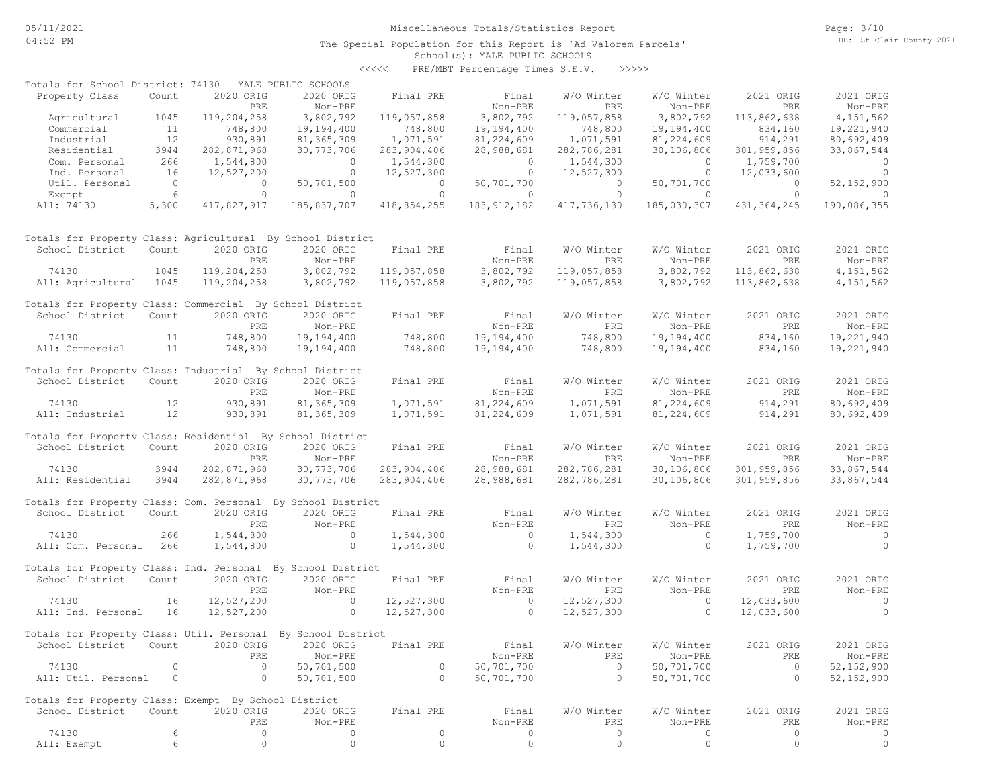The Special Population for this Report is 'Ad Valorem Parcels'

School(s): YALE PUBLIC SCHOOLS <<<<< PRE/MBT Percentage Times S.E.V. >>>>>

| Totals for School District: 74130                            |                 |                | YALE PUBLIC SCHOOLS |                |                |                |                |                |                |
|--------------------------------------------------------------|-----------------|----------------|---------------------|----------------|----------------|----------------|----------------|----------------|----------------|
| Property Class                                               | Count           | 2020 ORIG      | 2020 ORIG           | Final PRE      | Final          | W/O Winter     | W/O Winter     | 2021 ORIG      | 2021 ORIG      |
|                                                              |                 | PRE            |                     |                |                | <b>PRE</b>     |                | PRE            |                |
|                                                              |                 |                | Non-PRE             |                | Non-PRE        |                | Non-PRE        |                | Non-PRE        |
| Agricultural                                                 | 1045            | 119,204,258    | 3,802,792           | 119,057,858    | 3,802,792      | 119,057,858    | 3,802,792      | 113,862,638    | 4, 151, 562    |
| Commercial                                                   | 11              | 748,800        | 19,194,400          | 748,800        | 19,194,400     | 748,800        | 19,194,400     | 834,160        | 19,221,940     |
| Industrial                                                   | 12              | 930,891        | 81, 365, 309        | 1,071,591      | 81,224,609     | 1,071,591      | 81,224,609     | 914,291        | 80,692,409     |
| Residential                                                  | 3944            | 282,871,968    | 30,773,706          | 283, 904, 406  | 28,988,681     | 282,786,281    | 30,106,806     | 301,959,856    | 33,867,544     |
| Com. Personal                                                | 266             | 1,544,800      | $\overline{0}$      | 1,544,300      | $\circ$        | 1,544,300      | $\circ$        | 1,759,700      | $\circ$        |
| Ind. Personal                                                | 16              | 12,527,200     | $\overline{0}$      | 12,527,300     | $\overline{0}$ | 12,527,300     | $\overline{0}$ | 12,033,600     | $\overline{0}$ |
| Util. Personal                                               | $\overline{0}$  | $\overline{0}$ | 50,701,500          | $\overline{0}$ | 50,701,700     | $\overline{0}$ | 50,701,700     | $\overline{0}$ | 52, 152, 900   |
| Exempt                                                       | $6\overline{6}$ | $\circ$        | $\overline{0}$      | $\circ$        | $\overline{0}$ | $\overline{0}$ | $\overline{0}$ | $\circ$        | $\overline{0}$ |
| All: 74130                                                   | 5,300           | 417,827,917    | 185,837,707         | 418,854,255    | 183,912,182    | 417,736,130    | 185,030,307    | 431, 364, 245  | 190,086,355    |
| Totals for Property Class: Agricultural By School District   |                 |                |                     |                |                |                |                |                |                |
| School District                                              | Count           | 2020 ORIG      | 2020 ORIG           | Final PRE      | Final          | W/O Winter     | W/O Winter     | 2021 ORIG      | 2021 ORIG      |
|                                                              |                 | PRE            | Non-PRE             |                | Non-PRE        | PRE            | Non-PRE        | PRE            | Non-PRE        |
| 74130                                                        | 1045            | 119,204,258    | 3,802,792           | 119,057,858    | 3,802,792      | 119,057,858    | 3,802,792      | 113,862,638    | 4, 151, 562    |
| All: Agricultural 1045                                       |                 | 119,204,258    | 3,802,792           | 119,057,858    | 3,802,792      | 119,057,858    | 3,802,792      | 113,862,638    | 4,151,562      |
|                                                              |                 |                |                     |                |                |                |                |                |                |
| Totals for Property Class: Commercial By School District     |                 |                |                     |                |                |                |                |                |                |
|                                                              |                 |                |                     |                |                |                |                |                |                |
| School District                                              | Count           | 2020 ORIG      | 2020 ORIG           | Final PRE      | Final          | W/O Winter     | W/O Winter     | 2021 ORIG      | 2021 ORIG      |
|                                                              |                 | PRE            | Non-PRE             |                | Non-PRE        | PRE            | Non-PRE        | PRE            | Non-PRE        |
| 74130                                                        | 11              | 748,800        | 19,194,400          | 748,800        | 19,194,400     | 748,800        | 19,194,400     | 834,160        | 19,221,940     |
| All: Commercial                                              | 11              | 748,800        | 19,194,400          | 748,800        | 19,194,400     | 748,800        | 19,194,400     | 834,160        | 19,221,940     |
|                                                              |                 |                |                     |                |                |                |                |                |                |
| Totals for Property Class: Industrial By School District     |                 |                |                     |                |                |                |                |                |                |
| School District                                              | Count           | 2020 ORIG      | 2020 ORIG           | Final PRE      | Final          | W/O Winter     | W/O Winter     | 2021 ORIG      | 2021 ORIG      |
|                                                              |                 | PRE            | Non-PRE             |                | Non-PRE        | PRE            | Non-PRE        | PRE            | Non-PRE        |
| 74130                                                        | 12              | 930,891        | 81, 365, 309        | 1,071,591      | 81,224,609     | 1,071,591      | 81,224,609     | 914,291        | 80,692,409     |
| All: Industrial                                              | 12              | 930,891        | 81,365,309          | 1,071,591      | 81,224,609     | 1,071,591      |                | 914,291        | 80,692,409     |
|                                                              |                 |                |                     |                |                |                | 81,224,609     |                |                |
|                                                              |                 |                |                     |                |                |                |                |                |                |
| Totals for Property Class: Residential By School District    |                 |                |                     |                |                |                |                |                |                |
| School District                                              | Count           | 2020 ORIG      | 2020 ORIG           | Final PRE      | Final          | W/O Winter     | W/O Winter     | 2021 ORIG      | 2021 ORIG      |
|                                                              |                 | PRE            | Non-PRE             |                | Non-PRE        | PRE            | Non-PRE        | PRE            | Non-PRE        |
| 74130                                                        | 3944            | 282,871,968    | 30, 773, 706        | 283,904,406    | 28,988,681     | 282,786,281    | 30,106,806     | 301,959,856    | 33,867,544     |
| All: Residential                                             | 3944            | 282,871,968    | 30,773,706          | 283,904,406    | 28,988,681     | 282,786,281    | 30,106,806     | 301,959,856    | 33,867,544     |
|                                                              |                 |                |                     |                |                |                |                |                |                |
| Totals for Property Class: Com. Personal By School District  |                 |                |                     |                |                |                |                |                |                |
| School District                                              | Count           | 2020 ORIG      | 2020 ORIG           | Final PRE      | Final          | W/O Winter     | W/O Winter     | 2021 ORIG      | 2021 ORIG      |
|                                                              |                 | <b>PRE</b>     | Non-PRE             |                | Non-PRE        | PRE            | Non-PRE        | PRE            | Non-PRE        |
|                                                              |                 |                | $\sim$ 0            |                | $\sim$ 0       |                | $\sim$ 0       |                | $\sim$ 0       |
| 74130                                                        | 266             | 1,544,800      |                     | 1,544,300      |                | 1,544,300      |                | 1,759,700      |                |
| All: Com. Personal 266                                       |                 | 1,544,800      | $\overline{0}$      | 1,544,300      | $\overline{0}$ | 1,544,300      | $\circ$        | 1,759,700      | $\overline{0}$ |
|                                                              |                 |                |                     |                |                |                |                |                |                |
| Totals for Property Class: Ind. Personal By School District  |                 |                |                     |                |                |                |                |                |                |
| School District                                              | Count           | 2020 ORIG      | 2020 ORIG           | Final PRE      | Final          | W/O Winter     | W/O Winter     | 2021 ORIG      | 2021 ORIG      |
|                                                              |                 | PRE            | Non-PRE             |                | Non-PRE        | PRE            | Non-PRE        | PRE            | Non-PRE        |
| 74130                                                        | 16              | 12,527,200     | $\overline{0}$      | 12,527,300     | $\overline{0}$ | 12,527,300     | $\circ$        | 12,033,600     | $\overline{0}$ |
| All: Ind. Personal                                           | 16              | 12,527,200     | $\circ$             | 12,527,300     | $\sim$ 0       | 12,527,300     | $\circ$        | 12,033,600     | $\Omega$       |
|                                                              |                 |                |                     |                |                |                |                |                |                |
| Totals for Property Class: Util. Personal By School District |                 |                |                     |                |                |                |                |                |                |
|                                                              |                 |                |                     |                | Final          |                |                |                |                |
| School District Count 2020 ORIG 2020 ORIG Final PRE          |                 |                |                     |                |                | W/O Winter     | W/O Winter     | 2021 ORIG      | 2021 ORIG      |
|                                                              |                 | PRE            | Non-PRE             |                | Non-PRE        | PRE            | Non-PRE        | PRE            | Non-PRE        |
| 74130                                                        | $\circ$         | $\circ$        | 50,701,500          | $\circ$        | 50,701,700     | $\circ$        | 50,701,700     | $\overline{0}$ | 52, 152, 900   |
| All: Util. Personal                                          | $\circ$         | $\circ$        | 50,701,500          | $\circ$        | 50,701,700     | $\circ$        | 50,701,700     | $\circ$        | 52, 152, 900   |
|                                                              |                 |                |                     |                |                |                |                |                |                |
| Totals for Property Class: Exempt By School District         |                 |                |                     |                |                |                |                |                |                |
| School District                                              | Count           | 2020 ORIG      | 2020 ORIG           | Final PRE      | Final          | W/O Winter     | W/O Winter     | 2021 ORIG      | 2021 ORIG      |
|                                                              |                 | PRE            | Non-PRE             |                | Non-PRE        | PRE            | Non-PRE        | PRE            | Non-PRE        |
| 74130                                                        | 6               | 0              | 0                   | $\circ$        | 0              | $\circ$        | 0              | $\circ$        | 0              |
| All: Exempt                                                  | 6               | $\circ$        | $\circ$             | $\mathbb O$    | $\circ$        | $\circ$        | $\circ$        | $\circ$        | $\circ$        |
|                                                              |                 |                |                     |                |                |                |                |                |                |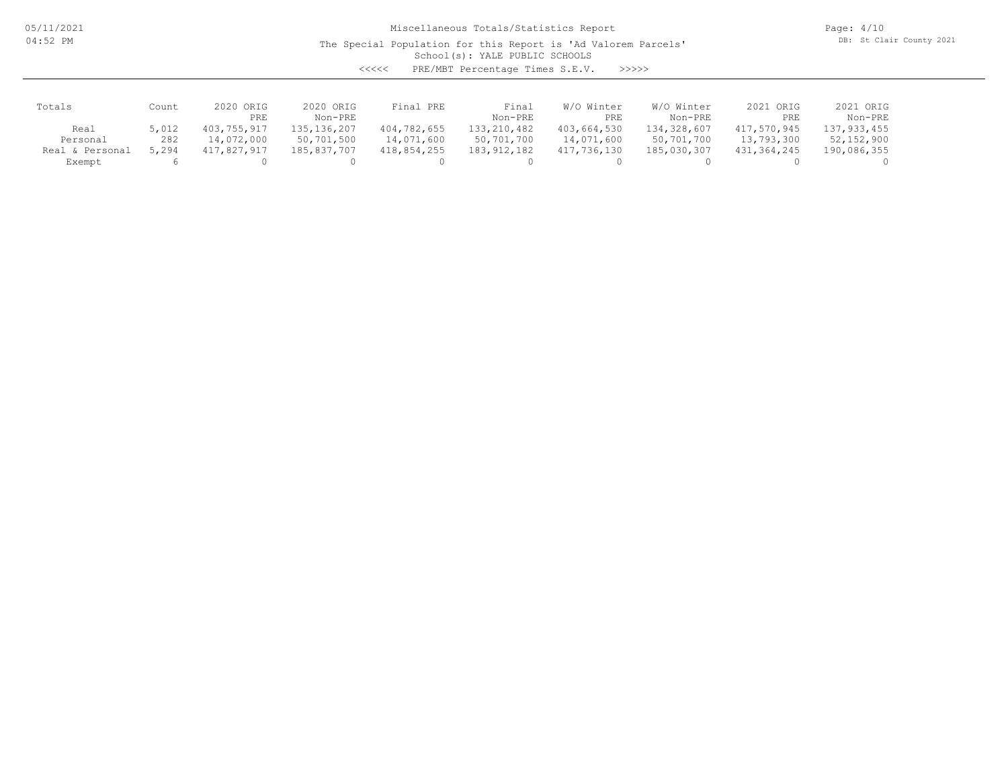05/11/2021 04:52 PM

Miscellaneous Totals/Statistics Report

The Special Population for this Report is 'Ad Valorem Parcels'

Page: 4/10 DB: St Clair County 2021

School(s): YALE PUBLIC SCHOOLS

<<<<< PRE/MBT Percentage Times S.E.V. >>>>>

| Totals          | Count | 2020 ORIG<br>PRE | 2020 ORIG<br>Non-PRE | Final PRE   | Final<br>Non-PRE | W/O Winter<br>PRE | W/O Winter<br>Non-PRE | 2021 ORIG<br>PRE | 2021 ORIG<br>Non-PRE |
|-----------------|-------|------------------|----------------------|-------------|------------------|-------------------|-----------------------|------------------|----------------------|
| Real            | 5,012 | 403,755,917      | 135, 136, 207        | 404,782,655 | 133, 210, 482    | 403,664,530       | 134,328,607           | 417,570,945      | 137,933,455          |
| Personal        | 282   | 14,072,000       | 50,701,500           | 14,071,600  | 50,701,700       | 14,071,600        | 50,701,700            | 13,793,300       | 52,152,900           |
| Real & Personal | 5,294 | 417,827,917      | 185,837,707          | 418,854,255 | 183, 912, 182    | 417,736,130       | 185,030,307           | 431,364,245      | 190,086,355          |
| Exempt          |       |                  |                      |             |                  |                   |                       |                  |                      |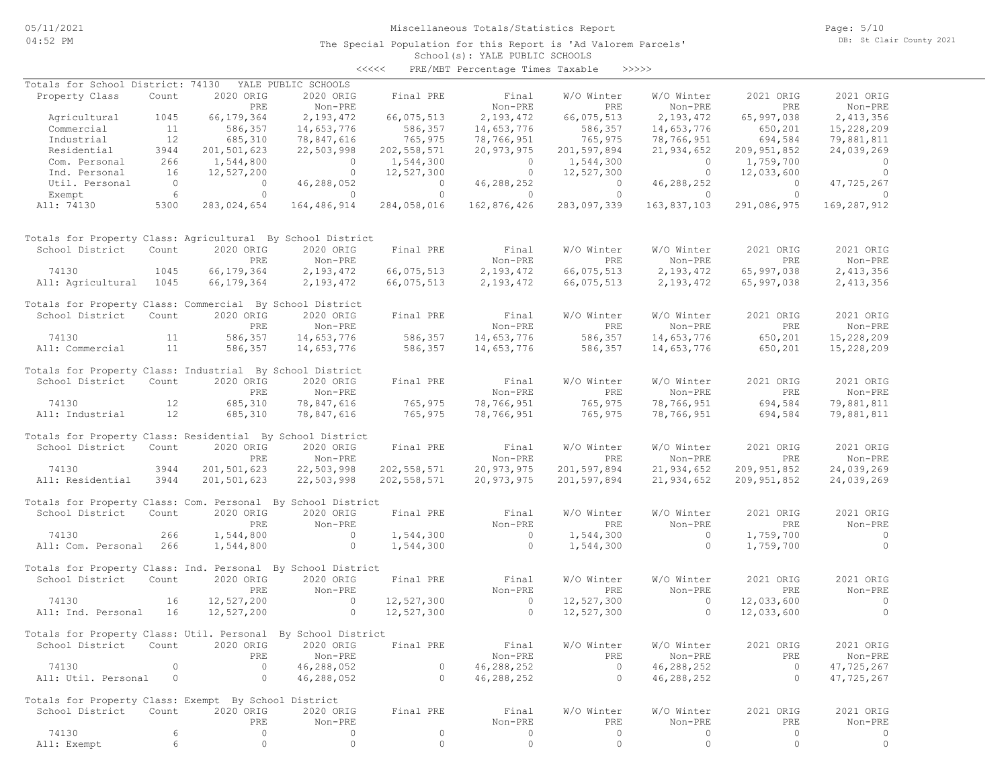The Special Population for this Report is 'Ad Valorem Parcels'

Page: 5/10 DB: St Clair County 2021

#### School(s): YALE PUBLIC SCHOOLS <<<<< PRE/MBT Percentage Times Taxable >>>>>

| Totals for School District: 74130                            |                 |                | YALE PUBLIC SCHOOLS |                |                |                       |                |                       |                |
|--------------------------------------------------------------|-----------------|----------------|---------------------|----------------|----------------|-----------------------|----------------|-----------------------|----------------|
| Property Class                                               | Count           | 2020 ORIG      | 2020 ORIG           | Final PRE      | Final          | W/O Winter            | W/O Winter     | 2021 ORIG             | 2021 ORIG      |
|                                                              |                 | PRE            | Non-PRE             |                | Non-PRE        | PRE                   | Non-PRE        | PRE                   | Non-PRE        |
| Agricultural                                                 | 1045            | 66, 179, 364   | 2,193,472           | 66,075,513     | 2,193,472      | 66,075,513            | 2,193,472      | 65,997,038            | 2,413,356      |
| Commercial                                                   | 11              | 586,357        | 14,653,776          | 586,357        | 14,653,776     | 586,357               | 14,653,776     | 650,201               | 15,228,209     |
| Industrial                                                   | 12              | 685,310        | 78,847,616          | 765,975        | 78,766,951     | 765,975               | 78,766,951     | 694,584               | 79,881,811     |
| Residential                                                  | 3944            | 201,501,623    | 22,503,998          | 202, 558, 571  | 20,973,975     | 201,597,894           | 21,934,652     | 209, 951, 852         | 24,039,269     |
| Com. Personal                                                | 266             | 1,544,800      | $\overline{a}$      | 1,544,300      | $\overline{0}$ | 1,544,300             | $\circ$        | 1,759,700             | $\circ$        |
| Ind. Personal                                                | 16              | 12,527,200     | $\overline{0}$      | 12,527,300     | $\overline{0}$ | 12,527,300            | $\overline{0}$ | 12,033,600            | $\overline{0}$ |
| Util. Personal                                               | $\overline{0}$  | $\overline{0}$ | 46,288,052          | $\overline{0}$ | 46,288,252     | $\overline{0}$        | 46,288,252     | $\overline{0}$        | 47,725,267     |
| Exempt                                                       | $6\overline{6}$ | $\circ$        | $\overline{0}$      | $\overline{0}$ | $\overline{0}$ | $\bigcirc$            | $\overline{0}$ | $\overline{0}$        | $\overline{0}$ |
| All: 74130                                                   | 5300            | 283,024,654    | 164,486,914         | 284,058,016    | 162,876,426    | 283,097,339           | 163,837,103    | 291,086,975           | 169,287,912    |
| Totals for Property Class: Agricultural By School District   |                 |                |                     |                |                |                       |                |                       |                |
| School District                                              | Count           | 2020 ORIG      | 2020 ORIG           | Final PRE      | Final          | W/O Winter            | W/O Winter     | 2021 ORIG             | 2021 ORIG      |
|                                                              |                 | PRE            | Non-PRE             |                | Non-PRE        | PRE                   | Non-PRE        | PRE                   | Non-PRE        |
| 74130                                                        | 1045            | 66, 179, 364   | 2,193,472           | 66,075,513     | 2,193,472      | 66,075,513            | 2,193,472      | 65,997,038            | 2,413,356      |
| All: Agricultural 1045                                       |                 | 66, 179, 364   | 2,193,472           | 66,075,513     | 2,193,472      | 66,075,513            | 2,193,472      | 65,997,038            | 2,413,356      |
| Totals for Property Class: Commercial By School District     |                 |                |                     |                |                |                       |                |                       |                |
| School District                                              | Count           | 2020 ORIG      | 2020 ORIG           | Final PRE      | Final          | W/O Winter            | W/O Winter     | 2021 ORIG             | 2021 ORIG      |
|                                                              |                 | PRE            | Non-PRE             |                | Non-PRE        | PRE                   | Non-PRE        | PRE                   | Non-PRE        |
| 74130                                                        | 11              | 586,357        | 14,653,776          | 586,357        | 14,653,776     | 586,357               | 14,653,776     | 650,201               | 15,228,209     |
| All: Commercial                                              | 11              | 586,357        | 14,653,776          | 586,357        | 14,653,776     | 586,357               | 14,653,776     | 650,201               | 15,228,209     |
| Totals for Property Class: Industrial By School District     |                 |                |                     |                |                |                       |                |                       |                |
| School District                                              | Count           | 2020 ORIG      | 2020 ORIG           | Final PRE      | Final          | W/O Winter            | W/O Winter     | 2021 ORIG             | 2021 ORIG      |
|                                                              |                 | PRE            | Non-PRE             |                | Non-PRE        | PRE                   | Non-PRE        | PRE                   | Non-PRE        |
| 74130                                                        | 12              | 685,310        | 78,847,616          | 765,975        | 78,766,951     | 765,975               | 78,766,951     | 694,584               | 79,881,811     |
| All: Industrial                                              | 12              | 685,310        | 78,847,616          | 765,975        | 78,766,951     | 765,975               | 78,766,951     | 694,584               | 79,881,811     |
|                                                              |                 |                |                     |                |                |                       |                |                       |                |
| Totals for Property Class: Residential By School District    |                 |                |                     |                |                |                       |                |                       |                |
| School District                                              | Count           | 2020 ORIG      | 2020 ORIG           | Final PRE      | Final          | W/O Winter            | W/O Winter     | 2021 ORIG             | 2021 ORIG      |
|                                                              |                 | PRE            | Non-PRE             |                | Non-PRE        | PRE                   | Non-PRE        | PRE                   | Non-PRE        |
| 74130                                                        | 3944            | 201,501,623    | 22,503,998          | 202, 558, 571  | 20,973,975     | 201,597,894           | 21,934,652     | 209, 951, 852         | 24,039,269     |
| All: Residential                                             | 3944            | 201,501,623    | 22,503,998          | 202, 558, 571  | 20,973,975     | 201,597,894           | 21,934,652     | 209, 951, 852         | 24,039,269     |
|                                                              |                 |                |                     |                |                |                       |                |                       |                |
| Totals for Property Class: Com. Personal By School District  |                 |                |                     |                |                |                       |                |                       |                |
| School District                                              | Count           | 2020 ORIG      | 2020 ORIG           | Final PRE      | Final          | W/O Winter            | W/O Winter     | 2021 ORIG             | 2021 ORIG      |
|                                                              |                 | <b>PRE</b>     | Non-PRE             |                | Non-PRE        | PRE                   | Non-PRE        | <b>PRE</b>            | Non-PRE        |
| 74130                                                        | 266             | 1,544,800      | $\sim$ 0            | 1,544,300      | $\overline{0}$ | 1,544,300             | $\sim$ 0       | 1,759,700             | $\sim$ 0       |
| All: Com. Personal 266                                       |                 | 1,544,800      | $\overline{0}$      | 1,544,300      | $\overline{0}$ | 1,544,300             | $\circ$        | 1,759,700             | $\overline{0}$ |
| Totals for Property Class: Ind. Personal By School District  |                 |                |                     |                |                |                       |                |                       |                |
| School District                                              | Count           | 2020 ORIG      | 2020 ORIG           | Final PRE      | Final          | W/O Winter            | W/O Winter     | 2021 ORIG             | 2021 ORIG      |
|                                                              |                 | PRE            | Non-PRE             |                | Non-PRE        | PRE                   | Non-PRE        | PRE                   | Non-PRE        |
| 74130                                                        | 16              | 12,527,200     | $\overline{0}$      | 12,527,300     | $\overline{0}$ | 12,527,300            | $\overline{0}$ | 12,033,600            | $\sim$ 0       |
| All: Ind. Personal                                           | 16              | 12,527,200     | $\overline{a}$      | 12,527,300     | $\sim$ 0       | 12,527,300            | $\circ$        | 12,033,600            | $\Omega$       |
| Totals for Property Class: Util. Personal By School District |                 |                |                     |                |                |                       |                |                       |                |
|                                                              |                 |                |                     |                |                |                       |                |                       |                |
| School District Count 2020 ORIG 2020 ORIG Final PRE          |                 |                |                     |                | Final          | W/O Winter            | W/O Winter     | 2021 ORIG             | 2021 ORIG      |
|                                                              | $\mathbf{0}$    | PRE<br>$\circ$ | Non-PRE             | $\circ$        | Non-PRE        | PRE<br>$\overline{0}$ | Non-PRE        | PRE<br>$\overline{0}$ | Non-PRE        |
| 74130                                                        |                 |                | 46,288,052          |                | 46,288,252     |                       | 46,288,252     |                       | 47,725,267     |
| All: Util. Personal                                          | $\circ$         | $\circ$        | 46,288,052          | $\circ$        | 46,288,252     | $\circ$               | 46,288,252     | $\circ$               | 47,725,267     |
| Totals for Property Class: Exempt By School District         |                 |                |                     |                |                |                       |                |                       |                |
| School District                                              | Count           | 2020 ORIG      | 2020 ORIG           | Final PRE      | Final          | W/O Winter            | W/O Winter     | 2021 ORIG             | 2021 ORIG      |
|                                                              |                 | PRE            | Non-PRE             |                | Non-PRE        | PRE                   | Non-PRE        | PRE                   | Non-PRE        |
| 74130                                                        | 6               | 0              | 0                   | $\circ$        | 0              | $\circ$               | 0              | $\circ$               | 0              |
| All: Exempt                                                  | 6               | $\circ$        | $\circ$             | $\circ$        | $\circ$        | $\circ$               | $\circ$        | $\circ$               | $\circ$        |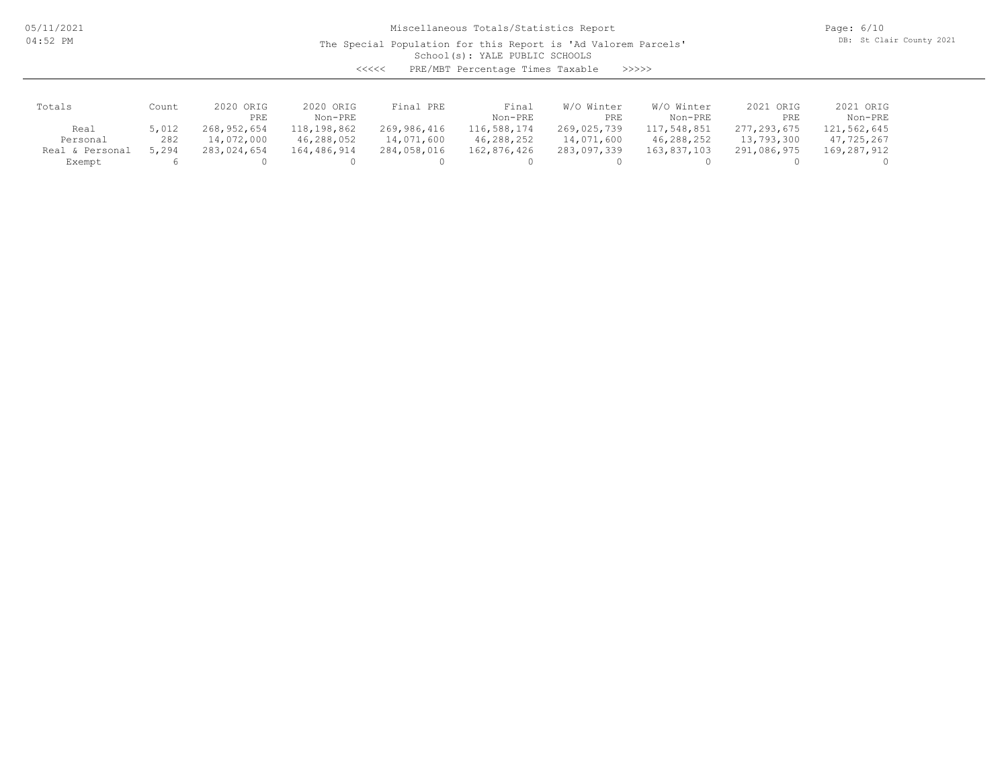05/11/2021 04:52 PM

Miscellaneous Totals/Statistics Report

The Special Population for this Report is 'Ad Valorem Parcels'

Page: 6/10 DB: St Clair County 2021

School(s): YALE PUBLIC SCHOOLS

<<<<< PRE/MBT Percentage Times Taxable >>>>>

| Totals          | Count | 2020 ORIG<br>PRE | 2020 ORIG<br>Non-PRE | Final PRE   | Final<br>Non-PRE | W/O Winter<br>PRE | W/O Winter<br>Non-PRE | 2021 ORIG<br>PRE | 2021 ORIG<br>Non-PRE |
|-----------------|-------|------------------|----------------------|-------------|------------------|-------------------|-----------------------|------------------|----------------------|
| Real            | 5,012 | 268,952,654      | 118,198,862          | 269,986,416 | 116,588,174      | 269,025,739       | 117,548,851           | 277,293,675      | 121,562,645          |
| Personal        | 282   | 14,072,000       | 46,288,052           | 14,071,600  | 46,288,252       | 14,071,600        | 46,288,252            | 13,793,300       | 47,725,267           |
| Real & Personal | 5,294 | 283,024,654      | 164,486,914          | 284,058,016 | 162,876,426      | 283,097,339       | 163,837,103           | 291,086,975      | 169,287,912          |
| Exempt          |       |                  |                      |             |                  |                   |                       |                  |                      |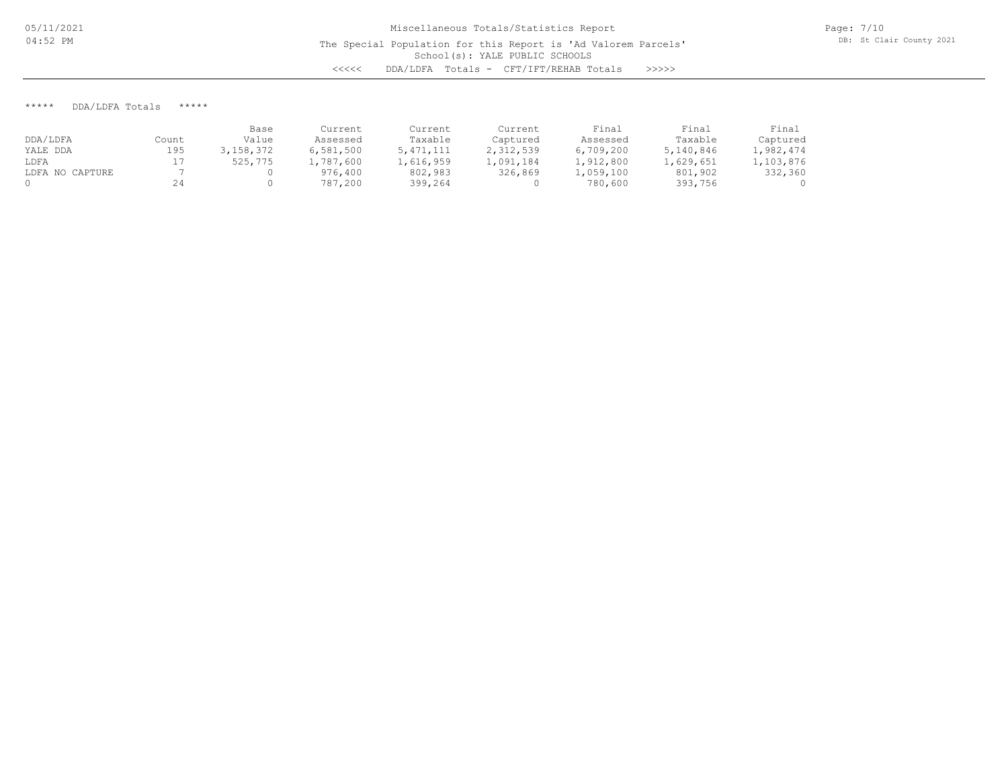Page: 7/10 DB: St Clair County 2021

\*\*\*\*\* DDA/LDFA Totals \*\*\*\*\*

|                 |       | Base      | Current   | Current     | Current   | Final     | Final     | Final     |
|-----------------|-------|-----------|-----------|-------------|-----------|-----------|-----------|-----------|
| DDA/LDFA        | Count | Value     | Assessed  | Taxable     | Captured  | Assessed  | Taxable   | Captured  |
| YALE DDA        | 195   | 3,158,372 | 6,581,500 | 5, 471, 111 | 2,312,539 | 6,709,200 | 5,140,846 | 1,982,474 |
| LDFA            |       | 525,775   | 1,787,600 | 1,616,959   | 1,091,184 | 1,912,800 | 1,629,651 | 1,103,876 |
| LDFA NO CAPTURE |       |           | 976,400   | 802,983     | 326,869   | 1,059,100 | 801,902   | 332,360   |
|                 | 24    |           | 787,200   | 399,264     |           | 780,600   | 393,756   | $\Omega$  |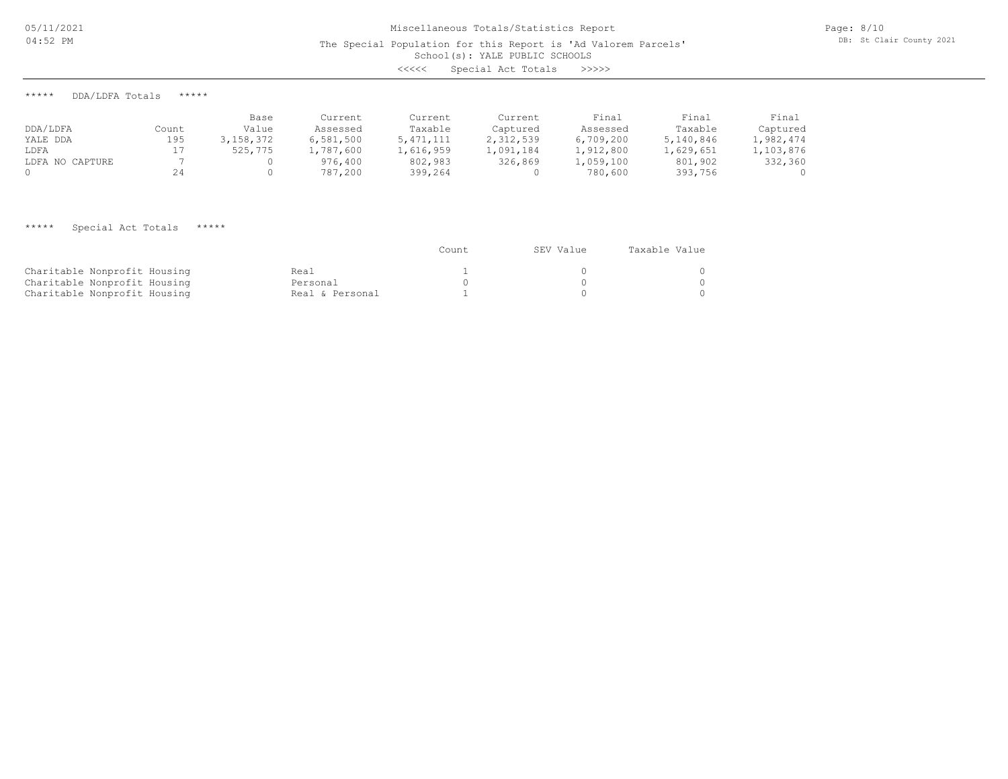# School(s): YALE PUBLIC SCHOOLS Miscellaneous Totals/Statistics Report The Special Population for this Report is 'Ad Valorem Parcels' <<<<< Special Act Totals >>>>>

\*\*\*\*\* DDA/LDFA Totals \*\*\*\*\*

|                 |       | Base      | Current   | Current     | Current   | Final     | Final     | Final     |
|-----------------|-------|-----------|-----------|-------------|-----------|-----------|-----------|-----------|
| DDA/LDFA        | Count | Value     | Assessed  | Taxable     | Captured  | Assessed  | Taxable   | Captured  |
| YALE DDA        | 195   | 3,158,372 | 6.581.500 | 5, 471, 111 | 2,312,539 | 6,709,200 | 5,140,846 | 1,982,474 |
| LDFA            |       | 525,775   | 1,787,600 | 1,616,959   | 1,091,184 | 1,912,800 | 1,629,651 | 1,103,876 |
| LDFA NO CAPTURE |       |           | 976,400   | 802,983     | 326,869   | 1,059,100 | 801,902   | 332,360   |
|                 | 24    |           | 787,200   | 399,264     |           | 780,600   | 393,756   | ()        |

## \*\*\*\*\* Special Act Totals \*\*\*\*\*

|                              |                 | Count | SEV Value | Taxable Value |
|------------------------------|-----------------|-------|-----------|---------------|
| Charitable Nonprofit Housing | Real            |       |           |               |
| Charitable Nonprofit Housing | Personal        |       |           |               |
| Charitable Nonprofit Housing | Real & Personal |       |           |               |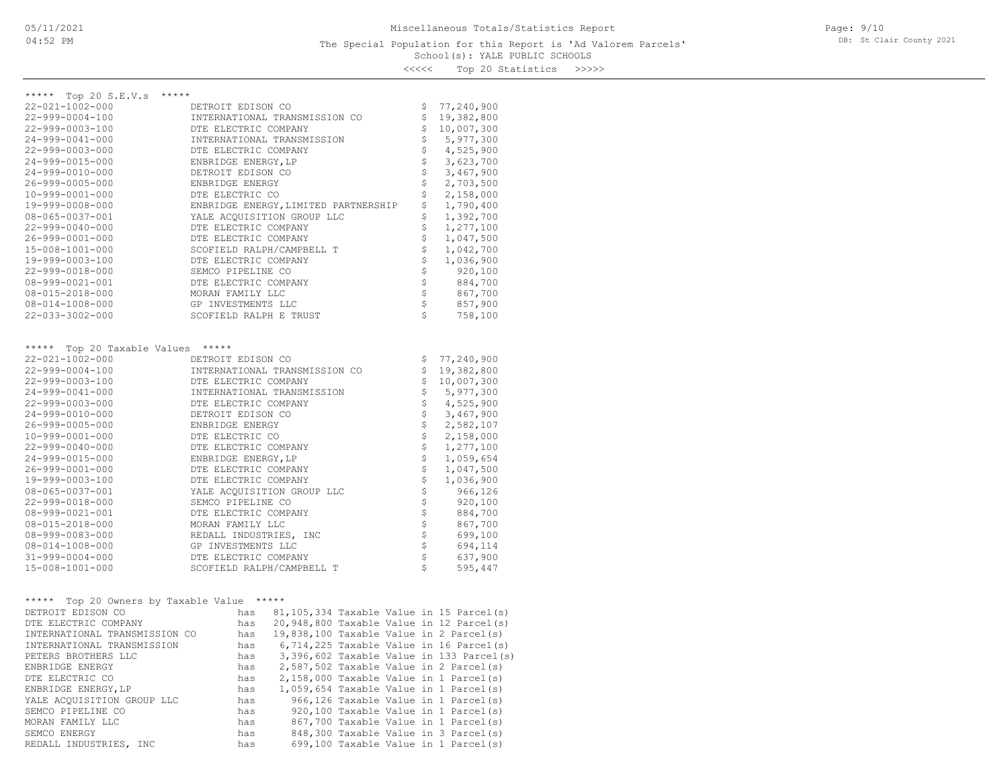School(s): YALE PUBLIC SCHOOLS <<<<< Top 20 Statistics >>>>>

| ***** Top 20 S.E.V.s<br>*****              |                                                  |                                |                        |
|--------------------------------------------|--------------------------------------------------|--------------------------------|------------------------|
| 22-021-1002-000                            | DETROIT EDISON CO                                | \$                             | 77,240,900             |
| 22-999-0004-100                            | INTERNATIONAL TRANSMISSION CO                    | \$                             | 19,382,800             |
| 22-999-0003-100                            | DTE ELECTRIC COMPANY                             | $\dot{\tilde{\mathbf{S}}}$     | 10,007,300             |
| 24-999-0041-000                            | INTERNATIONAL TRANSMISSION                       | $\dot{\varsigma}$              | 5,977,300              |
| 22-999-0003-000                            | DTE ELECTRIC COMPANY                             | $\frac{1}{2}$                  | 4,525,900              |
| 24-999-0015-000                            | ENBRIDGE ENERGY, LP                              | $\dot{\varsigma}$              | 3,623,700              |
| 24-999-0010-000                            | DETROIT EDISON CO                                | $\stackrel{.}{\mathsf{S}}$     | 3,467,900              |
| 26-999-0005-000                            | ENBRIDGE ENERGY                                  |                                | 2,703,500              |
| 10-999-0001-000                            | DTE ELECTRIC CO                                  | \$<br>\$                       | 2,158,000              |
| 19-999-0008-000                            | ENBRIDGE ENERGY, LIMITED PARTNERSHIP             |                                | 1,790,400              |
| 08-065-0037-001                            | YALE ACQUISITION GROUP LLC                       | \$                             | 1,392,700              |
| 22-999-0040-000                            | DTE ELECTRIC COMPANY                             | $\boldsymbol{\dot{\varsigma}}$ | 1,277,100              |
| 26-999-0001-000<br>15-008-1001-000         | DTE ELECTRIC COMPANY                             | \$                             | 1,047,500<br>1,042,700 |
| 19-999-0003-100                            | SCOFIELD RALPH/CAMPBELL T                        | $\frac{1}{2}$                  | 1,036,900              |
|                                            | DTE ELECTRIC COMPANY                             | $\dot{\varsigma}$              |                        |
| 22-999-0018-000                            | SEMCO PIPELINE CO                                | $\stackrel{.}{\mathsf{S}}$     | 920,100                |
| 08-999-0021-001                            | DTE ELECTRIC COMPANY                             | $\uplus$                       | 884,700                |
| 08-015-2018-000                            | MORAN FAMILY LLC                                 | $\ddot{\varsigma}$             | 867,700                |
| 08-014-1008-000                            | GP INVESTMENTS LLC                               | \$                             | 857,900                |
| 22-033-3002-000                            | SCOFIELD RALPH E TRUST                           |                                | 758,100                |
|                                            |                                                  |                                |                        |
| ***** Top 20 Taxable Values *****          |                                                  |                                |                        |
| $22 - 021 - 1002 - 000$                    | DETROIT EDISON CO                                | \$                             | 77,240,900             |
| $22 - 999 - 0004 - 100$                    | INTERNATIONAL TRANSMISSION CO                    | \$                             | 19,382,800             |
| 22-999-0003-100                            | DTE ELECTRIC COMPANY                             | $\frac{1}{2}$                  | 10,007,300             |
| 24-999-0041-000                            | INTERNATIONAL TRANSMISSION                       |                                | 5,977,300              |
| 22-999-0003-000                            | DTE ELECTRIC COMPANY                             | $\stackrel{.}{\mathsf{S}}$     | 4,525,900              |
| 24-999-0010-000                            | DETROIT EDISON CO                                | \$                             | 3,467,900              |
| 26-999-0005-000                            | ENBRIDGE ENERGY                                  | \$\$\$                         | 2,582,107              |
| 10-999-0001-000                            | DTE ELECTRIC CO                                  |                                | 2,158,000              |
| $22 - 999 - 0040 - 000$                    | DTE ELECTRIC COMPANY                             |                                | 1,277,100              |
| 24-999-0015-000                            | ENBRIDGE ENERGY, LP                              | $\dot{\varsigma}$              | 1,059,654              |
| 26-999-0001-000                            | DTE ELECTRIC COMPANY                             | $\frac{1}{2}$                  | 1,047,500              |
| 19-999-0003-100                            | DTE ELECTRIC COMPANY                             |                                | 1,036,900              |
| 08-065-0037-001                            | YALE ACQUISITION GROUP LLC                       | \$                             | 966,126                |
| 22-999-0018-000                            | SEMCO PIPELINE CO                                | \$                             | 920,100                |
| $08 - 999 - 0021 - 001$                    | DTE ELECTRIC COMPANY                             | \$\$\$\$\$                     | 884,700                |
| 08-015-2018-000                            | MORAN FAMILY LLC                                 |                                | 867,700                |
| 08-999-0083-000                            | REDALL INDUSTRIES, INC                           |                                | 699,100                |
| 08-014-1008-000                            | GP INVESTMENTS LLC                               |                                | 694,114                |
| $31 - 999 - 0004 - 000$                    | DTE ELECTRIC COMPANY                             | $\ddot{\varsigma}$             | 637,900                |
| 15-008-1001-000                            | SCOFIELD RALPH/CAMPBELL T                        | $\mathsf{S}$                   | 595,447                |
|                                            |                                                  |                                |                        |
| ***** Top 20 Owners by Taxable Value ***** |                                                  |                                |                        |
| DETROIT EDISON CO                          | has 81,105,334 Taxable Value in 15 Parcel(s)     |                                |                        |
| DTE ELECTRIC COMPANY                       | has 20,948,800 Taxable Value in 12 Parcel(s)     |                                |                        |
| INTERNATIONAL TRANSMISSION CO              | has 19,838,100 Taxable Value in 2 Parcel(s)      |                                |                        |
| INTERNATIONAL TRANSMISSION                 | $6,714,225$ Taxable Value in 16 Parcel(s)<br>has |                                |                        |
| PETERS BROTHERS LLC                        | 3,396,602 Taxable Value in 133 Parcel(s)<br>has  |                                |                        |
| ENBRIDGE ENERGY                            | 2,587,502 Taxable Value in 2 Parcel(s)<br>has    |                                |                        |
| DTE ELECTRIC CO                            | 2,158,000 Taxable Value in 1 Parcel(s)<br>has    |                                |                        |
| ENBRIDGE ENERGY, LP                        | 1,059,654 Taxable Value in 1 Parcel(s)<br>has    |                                |                        |
| YALE ACOUISITION GROUP LLC                 | 966,126 Taxable Value in 1 Parcel(s)<br>has      |                                |                        |
| SEMCO PIPELINE CO                          | 920,100 Taxable Value in 1 Parcel(s)<br>has      |                                |                        |
| MORAN FAMILY LLC                           | 867,700 Taxable Value in 1 Parcel(s)<br>has      |                                |                        |
| SEMCO ENERGY                               | 848,300 Taxable Value in 3 Parcel(s)<br>has      |                                |                        |
| REDALL INDUSTRIES, INC                     | 699,100 Taxable Value in 1 Parcel(s)<br>has      |                                |                        |